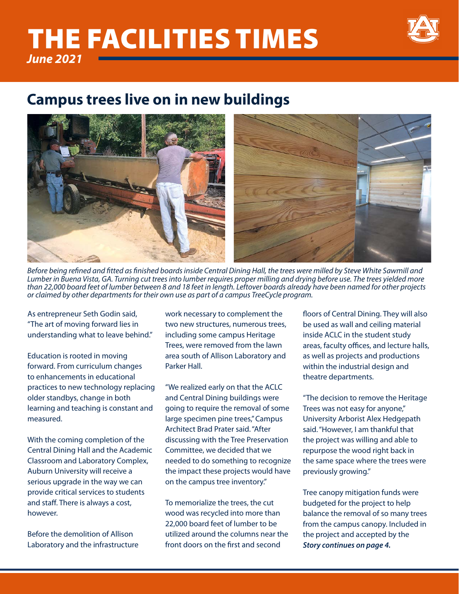## *June 2021* THE FACILITIES TIMES



## **Campus trees live on in new buildings**



*Before being refined and fitted as finished boards inside Central Dining Hall, the trees were milled by Steve White Sawmill and Lumber in Buena Vista, GA. Turning cut trees into lumber requires proper milling and drying before use. The trees yielded more than 22,000 board feet of lumber between 8 and 18 feet in length. Leftover boards already have been named for other projects or claimed by other departments for their own use as part of a campus TreeCycle program.*

As entrepreneur Seth Godin said, "The art of moving forward lies in understanding what to leave behind."

Education is rooted in moving forward. From curriculum changes to enhancements in educational practices to new technology replacing older standbys, change in both learning and teaching is constant and measured.

With the coming completion of the Central Dining Hall and the Academic Classroom and Laboratory Complex, Auburn University will receive a serious upgrade in the way we can provide critical services to students and staff. There is always a cost, however.

Before the demolition of Allison Laboratory and the infrastructure work necessary to complement the two new structures, numerous trees, including some campus Heritage Trees, were removed from the lawn area south of Allison Laboratory and Parker Hall.

"We realized early on that the ACLC and Central Dining buildings were going to require the removal of some large specimen pine trees," Campus Architect Brad Prater said. "After discussing with the Tree Preservation Committee, we decided that we needed to do something to recognize the impact these projects would have on the campus tree inventory."

To memorialize the trees, the cut wood was recycled into more than 22,000 board feet of lumber to be utilized around the columns near the front doors on the first and second

floors of Central Dining. They will also be used as wall and ceiling material inside ACLC in the student study areas, faculty offices, and lecture halls, as well as projects and productions within the industrial design and theatre departments.

"The decision to remove the Heritage Trees was not easy for anyone," University Arborist Alex Hedgepath said. "However, I am thankful that the project was willing and able to repurpose the wood right back in the same space where the trees were previously growing."

Tree canopy mitigation funds were budgeted for the project to help balance the removal of so many trees from the campus canopy. Included in the project and accepted by the *Story continues on page 4.*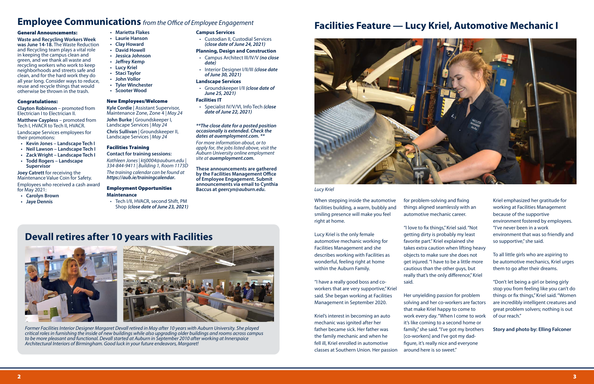#### General Announcements:

**Waste and Recycling Workers Week was June 14-18.** The Waste Reduction and Recycling team plays a vital role in keeping the campus clean and green, and we thank all waste and recycling workers who work to keep neighborhoods and streets safe and clean, and for the hard work they do all year long. Consider ways to reduce, reuse and recycle things that would otherwise be thrown in the trash.

**Matthew Caypless** – promoted from Tech I, HVACR to Tech II, HVACR.

#### Congratulations:

**Clayton Robinson** – promoted from Electrician I to Electrician II.

Landscape Services employees for their promotions:

- **• Kevin Jones Landscape Tech I**
- **• Neil Lawson Landscape Tech I**
- **• Zack Wright Landscape Tech I**
- **• Todd Rogers Landscape Supervisor**

**Joey Catrett** for receiving the Maintenance Value Coin for Safety. Employees who received a cash award

for May 2021: **• Carolyn Brown**

- 
- **• Jaye Dennis**

#### **• Marietta Flakes**

- **• Laurie Hanson**
- **• Clay Howard**
- **• David Howell**
- **• Jessica Johnson • Jeffrey Kemp**
- **• Lucy Kriel**
- 
- **• Staci Taylor • John Vollor**
- **• Tyler Winchester**
- **• Scooter Wood**
- 

#### New Employees/Welcome

**Kyle Cordie** | Assistant Supervisor, Maintenance Zone, Zone 4 *| May 24*

**John Burke** | Groundskeeper I, Landscape Services *| May 24* **Chris Sullivan** | Groundskeeper II, Landscape Services *| May 24*

#### Facilities Training

#### **Contact for training sessions:**

*Kathleen Jones | ktj0004@auburn.edu | 334-844-9411 | Building 1, Room 1173D The training calendar can be found at https://aub.ie/trainingcalendar.*

#### Employment Opportunities **Maintenance**

• Tech I/II, HVACR, second Shift, PM Shop *(close date of June 23, 2021)*

#### **Campus Services**

• Custodian II, Custodial Services *(close date of June 24, 2021)*

#### **Planning, Design and Construction**

- Campus Architect III/IV/V *(no close date)*
- Interior Designer I/II/III *(close date of June 30, 2021)*

#### **Landscape Services**

• Groundskeeper I/II *(close date of June 25, 2021)*

#### **Facilities IT**

• Specialist IV/V/VI, Info Tech *(close date of June 22, 2021)*

#### *\*\*The close date for a posted position occasionally is extended. Check the dates at auemployment.com. \*\**

*For more information about, or to apply for, the jobs listed above, visit the Auburn University online employment site at auemployment.com.*

**These announcements are gathered by the Facilities Management Office of Employee Engagement. Submit announcements via email to Cynthia Baccus at** *geercyn@auburn.edu.*

> When stepping inside the automotive facilities building, a warm, bubbly and smiling presence will make you feel right at home.

Lucy Kriel is the only female automotive mechanic working for Facilities Management and she describes working with Facilities as wonderful, feeling right at home within the Auburn Family.

"I have a really good boss and coworkers that are very supportive," Kriel said. She began working at Facilities Management in September 2020.

Kriel's interest in becoming an auto mechanic was ignited after her father became sick. Her father was the family mechanic and when he fell ill, Kriel enrolled in automotive classes at Southern Union. Her passion for problem-solving and fixing things aligned seamlessly with an automotive mechanic career.

"I love to fix things," Kriel said. "Not getting dirty is probably my least favorite part." Kriel explained she takes extra caution when lifting heavy objects to make sure she does not get injured. "I have to be a little more cautious than the other guys, but really that's the only difference," Kriel said.

Her unyielding passion for problem solving and her co-workers are factors that make Kriel happy to come to work every day. "When I come to work it's like coming to a second home or family," she said. "I've got my brothers [co-workers] and I've got my dadfigure, it's really nice and everyone around here is so sweet."

Kriel emphasized her gratitude for working at Facilities Management because of the supportive environment fostered by employees. "I've never been in a work environment that was so friendly and so supportive," she said.

To all little girls who are aspiring to be automotive mechanics, Kriel urges them to go after their dreams.

"Don't let being a girl or being girly stop you from feeling like you can't do things or fix things," Kriel said. "Women are incredibly intelligent creatures and great problem solvers; nothing is out of our reach."

**Story and photo by: Elling Falconer**

## **Employee Communications** *from the Office of Employee Engagement*

## **Devall retires after 10 years with Facilities**





## **Facilities Feature — Lucy Kriel, Automotive Mechanic I**



### *Lucy Kriel*